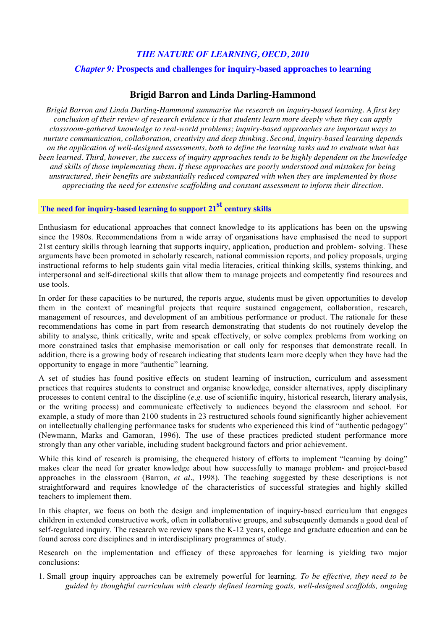# *THE NATURE OF LEARNING, OECD, 2010*

## *Chapter 9:* **Prospects and challenges for inquiry-based approaches to learning**

# **Brigid Barron and Linda Darling-Hammond**

*Brigid Barron and Linda Darling-Hammond summarise the research on inquiry-based learning. A first key conclusion of their review of research evidence is that students learn more deeply when they can apply classroom-gathered knowledge to real-world problems; inquiry-based approaches are important ways to nurture communication, collaboration, creativity and deep thinking. Second, inquiry-based learning depends on the application of well-designed assessments, both to define the learning tasks and to evaluate what has been learned. Third, however, the success of inquiry approaches tends to be highly dependent on the knowledge and skills of those implementing them. If these approaches are poorly understood and mistaken for being unstructured, their benefits are substantially reduced compared with when they are implemented by those appreciating the need for extensive scaffolding and constant assessment to inform their direction.* 

# **The need for inquiry-based learning to support 21st century skills**

Enthusiasm for educational approaches that connect knowledge to its applications has been on the upswing since the 1980s. Recommendations from a wide array of organisations have emphasised the need to support 21st century skills through learning that supports inquiry, application, production and problem- solving. These arguments have been promoted in scholarly research, national commission reports, and policy proposals, urging instructional reforms to help students gain vital media literacies, critical thinking skills, systems thinking, and interpersonal and self-directional skills that allow them to manage projects and competently find resources and use tools.

In order for these capacities to be nurtured, the reports argue, students must be given opportunities to develop them in the context of meaningful projects that require sustained engagement, collaboration, research, management of resources, and development of an ambitious performance or product. The rationale for these recommendations has come in part from research demonstrating that students do not routinely develop the ability to analyse, think critically, write and speak effectively, or solve complex problems from working on more constrained tasks that emphasise memorisation or call only for responses that demonstrate recall. In addition, there is a growing body of research indicating that students learn more deeply when they have had the opportunity to engage in more "authentic" learning.

A set of studies has found positive effects on student learning of instruction, curriculum and assessment practices that requires students to construct and organise knowledge, consider alternatives, apply disciplinary processes to content central to the discipline (*e.g.* use of scientific inquiry, historical research, literary analysis, or the writing process) and communicate effectively to audiences beyond the classroom and school. For example, a study of more than 2100 students in 23 restructured schools found significantly higher achievement on intellectually challenging performance tasks for students who experienced this kind of "authentic pedagogy" (Newmann, Marks and Gamoran, 1996). The use of these practices predicted student performance more strongly than any other variable, including student background factors and prior achievement.

While this kind of research is promising, the chequered history of efforts to implement "learning by doing" makes clear the need for greater knowledge about how successfully to manage problem- and project-based approaches in the classroom (Barron, *et al.*, 1998). The teaching suggested by these descriptions is not straightforward and requires knowledge of the characteristics of successful strategies and highly skilled teachers to implement them.

In this chapter, we focus on both the design and implementation of inquiry-based curriculum that engages children in extended constructive work, often in collaborative groups, and subsequently demands a good deal of self-regulated inquiry. The research we review spans the K-12 years, college and graduate education and can be found across core disciplines and in interdisciplinary programmes of study.

Research on the implementation and efficacy of these approaches for learning is yielding two major conclusions:

1. Small group inquiry approaches can be extremely powerful for learning. *To be effective, they need to be guided by thoughtful curriculum with clearly defined learning goals, well-designed scaffolds, ongoing*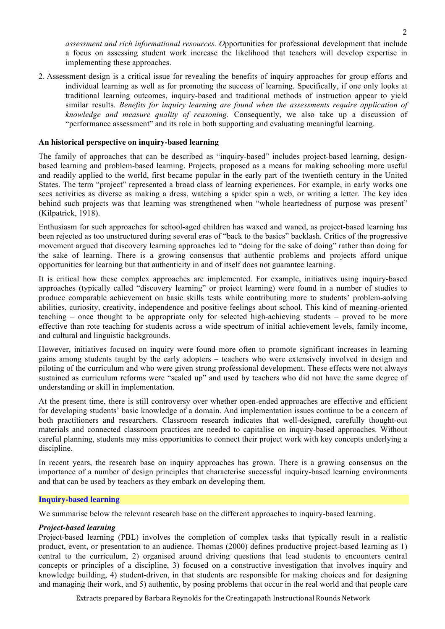*assessment and rich informational resources. O*pportunities for professional development that include a focus on assessing student work increase the likelihood that teachers will develop expertise in implementing these approaches.

2. Assessment design is a critical issue for revealing the benefits of inquiry approaches for group efforts and individual learning as well as for promoting the success of learning. Specifically, if one only looks at traditional learning outcomes, inquiry-based and traditional methods of instruction appear to yield similar results. *Benefits for inquiry learning are found when the assessments require application of knowledge and measure quality of reasoning.* Consequently, we also take up a discussion of "performance assessment" and its role in both supporting and evaluating meaningful learning.

### **An historical perspective on inquiry-based learning**

The family of approaches that can be described as "inquiry-based" includes project-based learning, designbased learning and problem-based learning. Projects, proposed as a means for making schooling more useful and readily applied to the world, first became popular in the early part of the twentieth century in the United States. The term "project" represented a broad class of learning experiences. For example, in early works one sees activities as diverse as making a dress, watching a spider spin a web, or writing a letter. The key idea behind such projects was that learning was strengthened when "whole heartedness of purpose was present" (Kilpatrick, 1918).

Enthusiasm for such approaches for school-aged children has waxed and waned, as project-based learning has been rejected as too unstructured during several eras of "back to the basics" backlash. Critics of the progressive movement argued that discovery learning approaches led to "doing for the sake of doing" rather than doing for the sake of learning. There is a growing consensus that authentic problems and projects afford unique opportunities for learning but that authenticity in and of itself does not guarantee learning.

It is critical how these complex approaches are implemented. For example, initiatives using inquiry-based approaches (typically called "discovery learning" or project learning) were found in a number of studies to produce comparable achievement on basic skills tests while contributing more to students' problem-solving abilities, curiosity, creativity, independence and positive feelings about school. This kind of meaning-oriented teaching – once thought to be appropriate only for selected high-achieving students – proved to be more effective than rote teaching for students across a wide spectrum of initial achievement levels, family income, and cultural and linguistic backgrounds.

However, initiatives focused on inquiry were found more often to promote significant increases in learning gains among students taught by the early adopters – teachers who were extensively involved in design and piloting of the curriculum and who were given strong professional development. These effects were not always sustained as curriculum reforms were "scaled up" and used by teachers who did not have the same degree of understanding or skill in implementation.

At the present time, there is still controversy over whether open-ended approaches are effective and efficient for developing students' basic knowledge of a domain. And implementation issues continue to be a concern of both practitioners and researchers. Classroom research indicates that well-designed, carefully thought-out materials and connected classroom practices are needed to capitalise on inquiry-based approaches. Without careful planning, students may miss opportunities to connect their project work with key concepts underlying a discipline.

In recent years, the research base on inquiry approaches has grown. There is a growing consensus on the importance of a number of design principles that characterise successful inquiry-based learning environments and that can be used by teachers as they embark on developing them.

#### **Inquiry-based learning**

We summarise below the relevant research base on the different approaches to inquiry-based learning.

#### *Project-based learning*

Project-based learning (PBL) involves the completion of complex tasks that typically result in a realistic product, event, or presentation to an audience. Thomas (2000) defines productive project-based learning as 1) central to the curriculum, 2) organised around driving questions that lead students to encounters central concepts or principles of a discipline, 3) focused on a constructive investigation that involves inquiry and knowledge building, 4) student-driven, in that students are responsible for making choices and for designing and managing their work, and 5) authentic, by posing problems that occur in the real world and that people care

Extracts prepared by Barbara Reynolds for the Creatingapath Instructional Rounds Network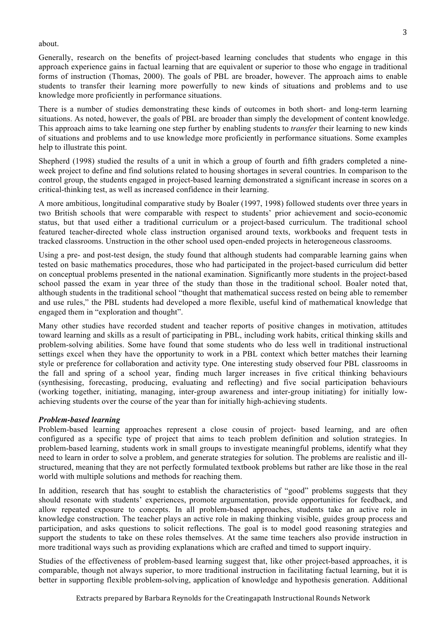about.

Generally, research on the benefits of project-based learning concludes that students who engage in this approach experience gains in factual learning that are equivalent or superior to those who engage in traditional forms of instruction (Thomas, 2000). The goals of PBL are broader, however. The approach aims to enable students to transfer their learning more powerfully to new kinds of situations and problems and to use knowledge more proficiently in performance situations.

There is a number of studies demonstrating these kinds of outcomes in both short- and long-term learning situations. As noted, however, the goals of PBL are broader than simply the development of content knowledge. This approach aims to take learning one step further by enabling students to *transfer* their learning to new kinds of situations and problems and to use knowledge more proficiently in performance situations. Some examples help to illustrate this point.

Shepherd (1998) studied the results of a unit in which a group of fourth and fifth graders completed a nineweek project to define and find solutions related to housing shortages in several countries. In comparison to the control group, the students engaged in project-based learning demonstrated a significant increase in scores on a critical-thinking test, as well as increased confidence in their learning.

A more ambitious, longitudinal comparative study by Boaler (1997, 1998) followed students over three years in two British schools that were comparable with respect to students' prior achievement and socio-economic status, but that used either a traditional curriculum or a project-based curriculum. The traditional school featured teacher-directed whole class instruction organised around texts, workbooks and frequent tests in tracked classrooms. Unstruction in the other school used open-ended projects in heterogeneous classrooms.

Using a pre- and post-test design, the study found that although students had comparable learning gains when tested on basic mathematics procedures, those who had participated in the project-based curriculum did better on conceptual problems presented in the national examination. Significantly more students in the project-based school passed the exam in year three of the study than those in the traditional school. Boaler noted that, although students in the traditional school "thought that mathematical success rested on being able to remember and use rules," the PBL students had developed a more flexible, useful kind of mathematical knowledge that engaged them in "exploration and thought".

Many other studies have recorded student and teacher reports of positive changes in motivation, attitudes toward learning and skills as a result of participating in PBL, including work habits, critical thinking skills and problem-solving abilities. Some have found that some students who do less well in traditional instructional settings excel when they have the opportunity to work in a PBL context which better matches their learning style or preference for collaboration and activity type. One interesting study observed four PBL classrooms in the fall and spring of a school year, finding much larger increases in five critical thinking behaviours (synthesising, forecasting, producing, evaluating and reflecting) and five social participation behaviours (working together, initiating, managing, inter-group awareness and inter-group initiating) for initially lowachieving students over the course of the year than for initially high-achieving students.

#### *Problem-based learning*

Problem-based learning approaches represent a close cousin of project- based learning, and are often configured as a specific type of project that aims to teach problem definition and solution strategies. In problem-based learning, students work in small groups to investigate meaningful problems, identify what they need to learn in order to solve a problem, and generate strategies for solution. The problems are realistic and illstructured, meaning that they are not perfectly formulated textbook problems but rather are like those in the real world with multiple solutions and methods for reaching them.

In addition, research that has sought to establish the characteristics of "good" problems suggests that they should resonate with students' experiences, promote argumentation, provide opportunities for feedback, and allow repeated exposure to concepts. In all problem-based approaches, students take an active role in knowledge construction. The teacher plays an active role in making thinking visible, guides group process and participation, and asks questions to solicit reflections. The goal is to model good reasoning strategies and support the students to take on these roles themselves. At the same time teachers also provide instruction in more traditional ways such as providing explanations which are crafted and timed to support inquiry.

Studies of the effectiveness of problem-based learning suggest that, like other project-based approaches, it is comparable, though not always superior, to more traditional instruction in facilitating factual learning, but it is better in supporting flexible problem-solving, application of knowledge and hypothesis generation. Additional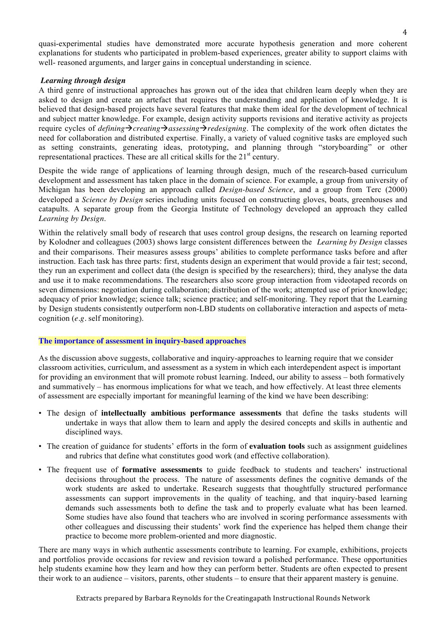quasi-experimental studies have demonstrated more accurate hypothesis generation and more coherent explanations for students who participated in problem-based experiences, greater ability to support claims with well- reasoned arguments, and larger gains in conceptual understanding in science.

## *Learning through design*

A third genre of instructional approaches has grown out of the idea that children learn deeply when they are asked to design and create an artefact that requires the understanding and application of knowledge. It is believed that design-based projects have several features that make them ideal for the development of technical and subject matter knowledge. For example, design activity supports revisions and iterative activity as projects require cycles of *defining* $\rightarrow$ *creating* $\rightarrow$ *assessing* $\rightarrow$ *redesigning*. The complexity of the work often dictates the need for collaboration and distributed expertise. Finally, a variety of valued cognitive tasks are employed such as setting constraints, generating ideas, prototyping, and planning through "storyboarding" or other representational practices. These are all critical skills for the  $21<sup>st</sup>$  century.

Despite the wide range of applications of learning through design, much of the research-based curriculum development and assessment has taken place in the domain of science. For example, a group from university of Michigan has been developing an approach called *Design-based Science*, and a group from Terc (2000) developed a *Science by Design* series including units focused on constructing gloves, boats, greenhouses and catapults. A separate group from the Georgia Institute of Technology developed an approach they called *Learning by Design*.

Within the relatively small body of research that uses control group designs, the research on learning reported by Kolodner and colleagues (2003) shows large consistent differences between the *Learning by Design* classes and their comparisons. Their measures assess groups' abilities to complete performance tasks before and after instruction. Each task has three parts: first, students design an experiment that would provide a fair test; second, they run an experiment and collect data (the design is specified by the researchers); third, they analyse the data and use it to make recommendations. The researchers also score group interaction from videotaped records on seven dimensions: negotiation during collaboration; distribution of the work; attempted use of prior knowledge; adequacy of prior knowledge; science talk; science practice; and self-monitoring. They report that the Learning by Design students consistently outperform non-LBD students on collaborative interaction and aspects of metacognition (*e.g.* self monitoring).

#### **The importance of assessment in inquiry-based approaches**

As the discussion above suggests, collaborative and inquiry-approaches to learning require that we consider classroom activities, curriculum, and assessment as a system in which each interdependent aspect is important for providing an environment that will promote robust learning. Indeed, our ability to assess – both formatively and summatively – has enormous implications for what we teach, and how effectively. At least three elements of assessment are especially important for meaningful learning of the kind we have been describing:

- The design of **intellectually ambitious performance assessments** that define the tasks students will undertake in ways that allow them to learn and apply the desired concepts and skills in authentic and disciplined ways.
- The creation of guidance for students' efforts in the form of **evaluation tools** such as assignment guidelines and rubrics that define what constitutes good work (and effective collaboration).
- The frequent use of **formative assessments** to guide feedback to students and teachers' instructional decisions throughout the process. The nature of assessments defines the cognitive demands of the work students are asked to undertake. Research suggests that thoughtfully structured performance assessments can support improvements in the quality of teaching, and that inquiry-based learning demands such assessments both to define the task and to properly evaluate what has been learned. Some studies have also found that teachers who are involved in scoring performance assessments with other colleagues and discussing their students' work find the experience has helped them change their practice to become more problem-oriented and more diagnostic.

There are many ways in which authentic assessments contribute to learning. For example, exhibitions, projects and portfolios provide occasions for review and revision toward a polished performance. These opportunities help students examine how they learn and how they can perform better. Students are often expected to present their work to an audience – visitors, parents, other students – to ensure that their apparent mastery is genuine.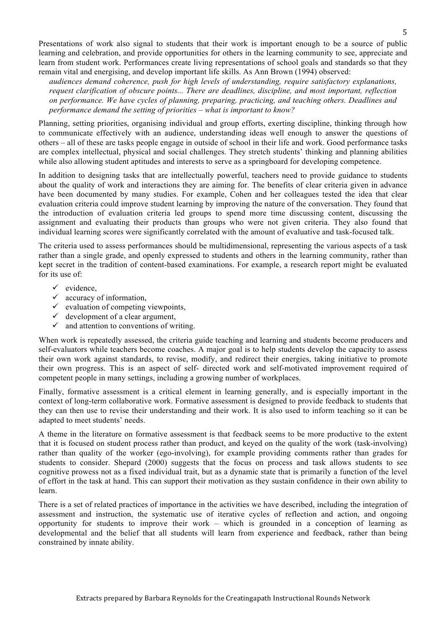Presentations of work also signal to students that their work is important enough to be a source of public learning and celebration, and provide opportunities for others in the learning community to see, appreciate and learn from student work. Performances create living representations of school goals and standards so that they remain vital and energising, and develop important life skills. As Ann Brown (1994) observed:

*audiences demand coherence, push for high levels of understanding, require satisfactory explanations, request clarification of obscure points... There are deadlines, discipline, and most important, reflection on performance. We have cycles of planning, preparing, practicing, and teaching others. Deadlines and performance demand the setting of priorities – what is important to know?* 

Planning, setting priorities, organising individual and group efforts, exerting discipline, thinking through how to communicate effectively with an audience, understanding ideas well enough to answer the questions of others – all of these are tasks people engage in outside of school in their life and work. Good performance tasks are complex intellectual, physical and social challenges. They stretch students' thinking and planning abilities while also allowing student aptitudes and interests to serve as a springboard for developing competence.

In addition to designing tasks that are intellectually powerful, teachers need to provide guidance to students about the quality of work and interactions they are aiming for. The benefits of clear criteria given in advance have been documented by many studies. For example, Cohen and her colleagues tested the idea that clear evaluation criteria could improve student learning by improving the nature of the conversation. They found that the introduction of evaluation criteria led groups to spend more time discussing content, discussing the assignment and evaluating their products than groups who were not given criteria. They also found that individual learning scores were significantly correlated with the amount of evaluative and task-focused talk.

The criteria used to assess performances should be multidimensional, representing the various aspects of a task rather than a single grade, and openly expressed to students and others in the learning community, rather than kept secret in the tradition of content-based examinations. For example, a research report might be evaluated for its use of:

- $\checkmark$  evidence
- $\checkmark$  accuracy of information,
- $\checkmark$  evaluation of competing viewpoints,
- $\checkmark$  development of a clear argument.
- $\checkmark$  and attention to conventions of writing.

When work is repeatedly assessed, the criteria guide teaching and learning and students become producers and self-evaluators while teachers become coaches. A major goal is to help students develop the capacity to assess their own work against standards, to revise, modify, and redirect their energies, taking initiative to promote their own progress. This is an aspect of self- directed work and self-motivated improvement required of competent people in many settings, including a growing number of workplaces.

Finally, formative assessment is a critical element in learning generally, and is especially important in the context of long-term collaborative work. Formative assessment is designed to provide feedback to students that they can then use to revise their understanding and their work. It is also used to inform teaching so it can be adapted to meet students' needs.

A theme in the literature on formative assessment is that feedback seems to be more productive to the extent that it is focused on student process rather than product, and keyed on the quality of the work (task-involving) rather than quality of the worker (ego-involving), for example providing comments rather than grades for students to consider. Shepard (2000) suggests that the focus on process and task allows students to see cognitive prowess not as a fixed individual trait, but as a dynamic state that is primarily a function of the level of effort in the task at hand. This can support their motivation as they sustain confidence in their own ability to learn.

There is a set of related practices of importance in the activities we have described, including the integration of assessment and instruction, the systematic use of iterative cycles of reflection and action, and ongoing opportunity for students to improve their work – which is grounded in a conception of learning as developmental and the belief that all students will learn from experience and feedback, rather than being constrained by innate ability.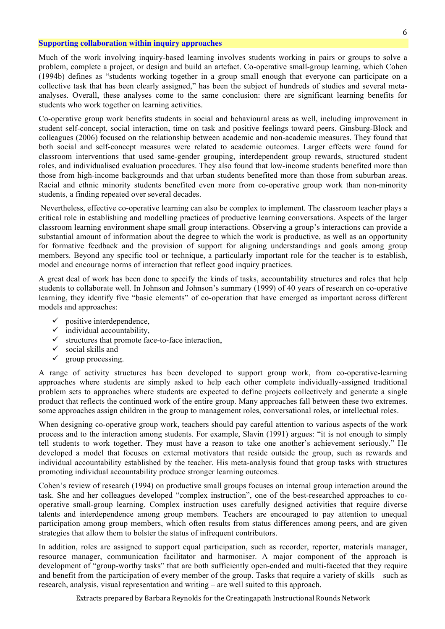#### **Supporting collaboration within inquiry approaches**

Much of the work involving inquiry-based learning involves students working in pairs or groups to solve a problem, complete a project, or design and build an artefact. Co-operative small-group learning, which Cohen (1994b) defines as "students working together in a group small enough that everyone can participate on a collective task that has been clearly assigned," has been the subject of hundreds of studies and several metaanalyses. Overall, these analyses come to the same conclusion: there are significant learning benefits for students who work together on learning activities.

Co-operative group work benefits students in social and behavioural areas as well, including improvement in student self-concept, social interaction, time on task and positive feelings toward peers. Ginsburg-Block and colleagues (2006) focused on the relationship between academic and non-academic measures. They found that both social and self-concept measures were related to academic outcomes. Larger effects were found for classroom interventions that used same-gender grouping, interdependent group rewards, structured student roles, and individualised evaluation procedures. They also found that low-income students benefited more than those from high-income backgrounds and that urban students benefited more than those from suburban areas. Racial and ethnic minority students benefited even more from co-operative group work than non-minority students, a finding repeated over several decades.

Nevertheless, effective co-operative learning can also be complex to implement. The classroom teacher plays a critical role in establishing and modelling practices of productive learning conversations. Aspects of the larger classroom learning environment shape small group interactions. Observing a group's interactions can provide a substantial amount of information about the degree to which the work is productive, as well as an opportunity for formative feedback and the provision of support for aligning understandings and goals among group members. Beyond any specific tool or technique, a particularly important role for the teacher is to establish, model and encourage norms of interaction that reflect good inquiry practices.

A great deal of work has been done to specify the kinds of tasks, accountability structures and roles that help students to collaborate well. In Johnson and Johnson's summary (1999) of 40 years of research on co-operative learning, they identify five "basic elements" of co-operation that have emerged as important across different models and approaches:

- $\checkmark$  positive interdependence,
- $\checkmark$  individual accountability,
- $\checkmark$  structures that promote face-to-face interaction,
- $\checkmark$  social skills and
- $\checkmark$  group processing.

A range of activity structures has been developed to support group work, from co-operative-learning approaches where students are simply asked to help each other complete individually-assigned traditional problem sets to approaches where students are expected to define projects collectively and generate a single product that reflects the continued work of the entire group. Many approaches fall between these two extremes. some approaches assign children in the group to management roles, conversational roles, or intellectual roles.

When designing co-operative group work, teachers should pay careful attention to various aspects of the work process and to the interaction among students. For example, Slavin (1991) argues: "it is not enough to simply tell students to work together. They must have a reason to take one another's achievement seriously." He developed a model that focuses on external motivators that reside outside the group, such as rewards and individual accountability established by the teacher. His meta-analysis found that group tasks with structures promoting individual accountability produce stronger learning outcomes.

Cohen's review of research (1994) on productive small groups focuses on internal group interaction around the task. She and her colleagues developed "complex instruction", one of the best-researched approaches to cooperative small-group learning. Complex instruction uses carefully designed activities that require diverse talents and interdependence among group members. Teachers are encouraged to pay attention to unequal participation among group members, which often results from status differences among peers, and are given strategies that allow them to bolster the status of infrequent contributors.

In addition, roles are assigned to support equal participation, such as recorder, reporter, materials manager, resource manager, communication facilitator and harmoniser. A major component of the approach is development of "group-worthy tasks" that are both sufficiently open-ended and multi-faceted that they require and benefit from the participation of every member of the group. Tasks that require a variety of skills – such as research, analysis, visual representation and writing – are well suited to this approach.

Extracts prepared by Barbara Reynolds for the Creatingapath Instructional Rounds Network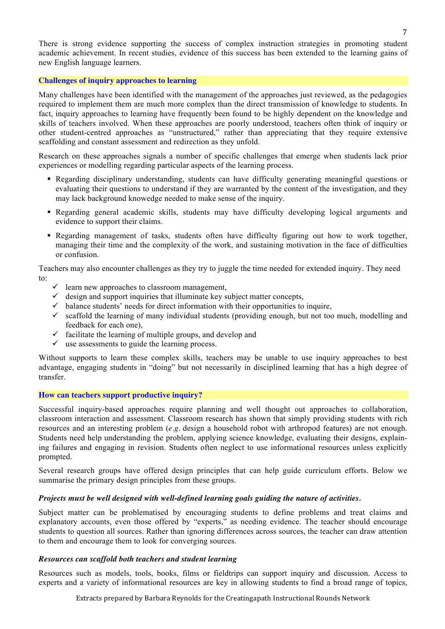There is strong evidence supporting the success of complex instruction strategies in promoting student academic achievement. In recent studies, evidence of this success has been extended to the learning gains of new English language learners.

## **Challenges of inquiry approaches to learning**

Many challenges have been identified with the management of the approaches just reviewed, as the pedagogies required to implement them are much more complex than the direct transmission of knowledge to students. In fact, inquiry approaches to learning have frequently been found to be highly dependent on the knowledge and skills of teachers involved. When these approaches are poorly understood, teachers often think of inquiry or other student-centred approaches as "unstructured," rather than appreciating that they require extensive scaffolding and constant assessment and redirection as they unfold.

Research on these approaches signals a number of specific challenges that emerge when students lack prior experiences or modelling regarding particular aspects of the learning process.

- § Regarding disciplinary understanding, students can have difficulty generating meaningful questions or evaluating their questions to understand if they are warranted by the content of the investigation, and they may lack background knowedge needed to make sense of the inquiry.
- § Regarding general academic skills, students may have difficulty developing logical arguments and evidence to support their claims.
- § Regarding management of tasks, students often have difficulty figuring out how to work together, managing their time and the complexity of the work, and sustaining motivation in the face of difficulties or confusion.

Teachers may also encounter challenges as they try to juggle the time needed for extended inquiry. They need to:

- $\checkmark$  learn new approaches to classroom management,
- $\checkmark$  design and support inquiries that illuminate key subject matter concepts,
- $\checkmark$  balance students' needs for direct information with their opportunities to inquire,
- $\checkmark$  scaffold the learning of many individual students (providing enough, but not too much, modelling and feedback for each one),
- $\checkmark$  facilitate the learning of multiple groups, and develop and
- $\checkmark$  use assessments to guide the learning process.

Without supports to learn these complex skills, teachers may be unable to use inquiry approaches to best advantage, engaging students in "doing" but not necessarily in disciplined learning that has a high degree of transfer.

#### **How can teachers support productive inquiry?**

Successful inquiry-based approaches require planning and well thought out approaches to collaboration, classroom interaction and assessment. Classroom research has shown that simply providing students with rich resources and an interesting problem (*e.g.* design a household robot with arthropod features) are not enough. Students need help understanding the problem, applying science knowledge, evaluating their designs, explaining failures and engaging in revision. Students often neglect to use informational resources unless explicitly prompted.

Several research groups have offered design principles that can help guide curriculum efforts. Below we summarise the primary design principles from these groups.

## *Projects must be well designed with well-defined learning goals guiding the nature of activities.*

Subject matter can be problematised by encouraging students to define problems and treat claims and explanatory accounts, even those offered by "experts," as needing evidence. The teacher should encourage students to question all sources. Rather than ignoring differences across sources, the teacher can draw attention to them and encourage them to look for converging sources.

#### *Resources can scaffold both teachers and student learning*

Resources such as models, tools, books, films or fieldtrips can support inquiry and discussion. Access to experts and a variety of informational resources are key in allowing students to find a broad range of topics,